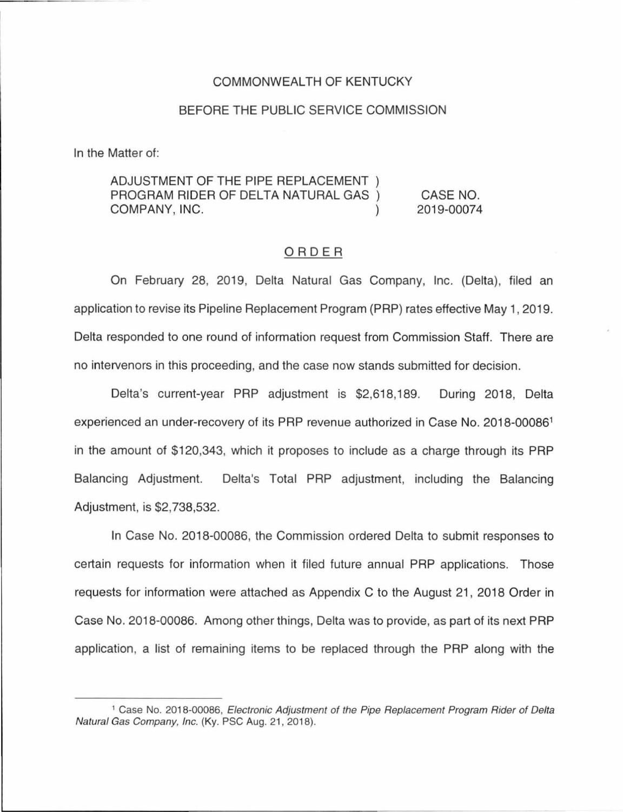#### COMMONWEAL TH OF KENTUCKY

#### BEFORE THE PUBLIC SERVICE COMMISSION

In the Matter of:

#### ADJUSTMENT OF THE PIPE REPLACEMENT ) PROGRAM RIDER OF DELTA NATURAL GAS ) COMPANY, INC. CASE NO. 2019-00074

#### ORDER

On February 28, 2019, Delta Natural Gas Company, Inc. (Delta), filed an application to revise its Pipeline Replacement Program (PAP) rates effective May 1, 2019. Delta responded to one round of information request from Commission Staff. There are no intervenors in this proceeding, and the case now stands submitted for decision.

Delta's current-year PAP adjustment is \$2,618, 189. During 2018, Delta experienced an under-recovery of its PRP revenue authorized in Case No. 2018-00086<sup>1</sup> in the amount of \$120,343, which it proposes to include as a charge through its PAP Balancing Adjustment. Delta's Total PAP adjustment, including the Balancing Adjustment, is \$2,738,532.

In Case No. 2018-00086, the Commission ordered Delta to submit responses to certain requests for information when it filed future annual PAP applications. Those requests for information were attached as Appendix C to the August 21, 2018 Order in Case No. 2018-00086. Among other things, Delta was to provide, as part of its next PAP application, a list of remaining items to be replaced through the PAP along with the

<sup>&</sup>lt;sup>1</sup> Case No. 2018-00086, Electronic Adjustment of the Pipe Replacement Program Rider of Delta Natural Gas Company, Inc. (Ky. PSC Aug. 21, 2018).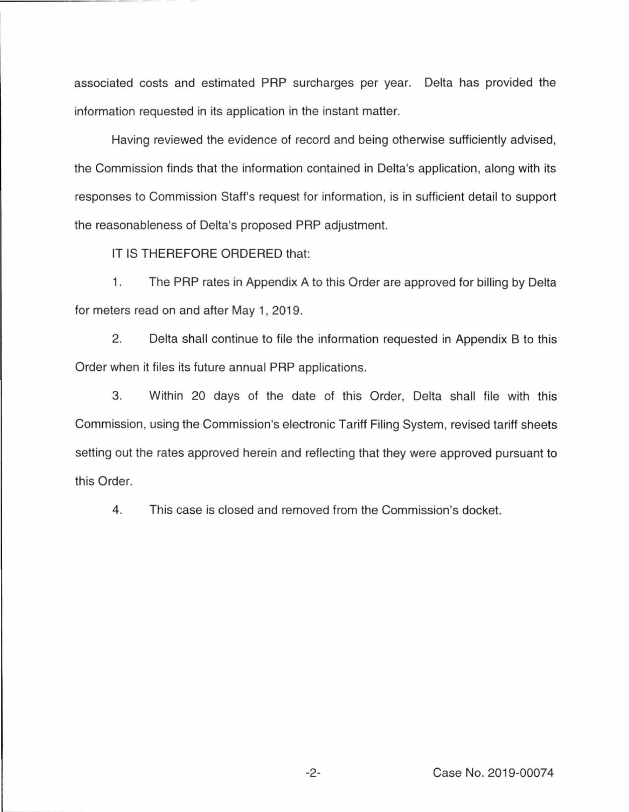associated costs and estimated PRP surcharges per year. Delta has provided the information requested in its application in the instant matter.

Having reviewed the evidence of record and being otherwise sufficiently advised, the Commission finds that the information contained in Delta's application, along with its responses to Commission Staff's request for information, is in sufficient detail to support the reasonableness of Delta's proposed PRP adjustment.

IT IS THEREFORE ORDERED that:

1. The PRP rates in Appendix A to this Order are approved for billing by Delta for meters read on and after May 1, 2019.

2. Delta shall continue to file the information requested in Appendix B to this Order when it files its future annual PRP applications.

3. Within 20 days of the date of this Order, Delta shall file with this Commission, using the Commission's electronic Tariff Filing System, revised tariff sheets setting out the rates approved herein and reflecting that they were approved pursuant to this Order.

4. This case is closed and removed from the Commission's docket.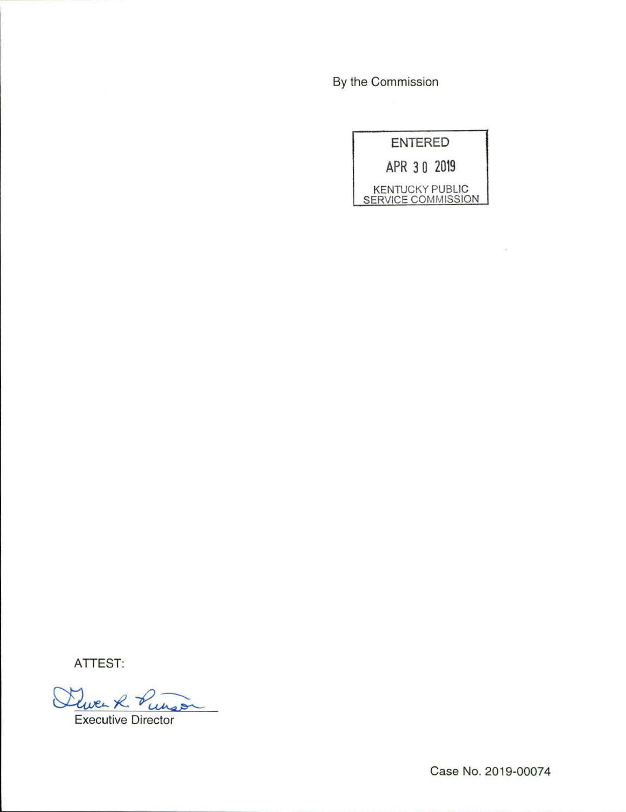By the Commission

| <b>ENTERED</b>                                      |  |
|-----------------------------------------------------|--|
| APR 30 2019                                         |  |
| <b>KENTUCKY PUBLIC</b><br><b>SERVICE COMMISSION</b> |  |

ATTEST:

Que R. Punson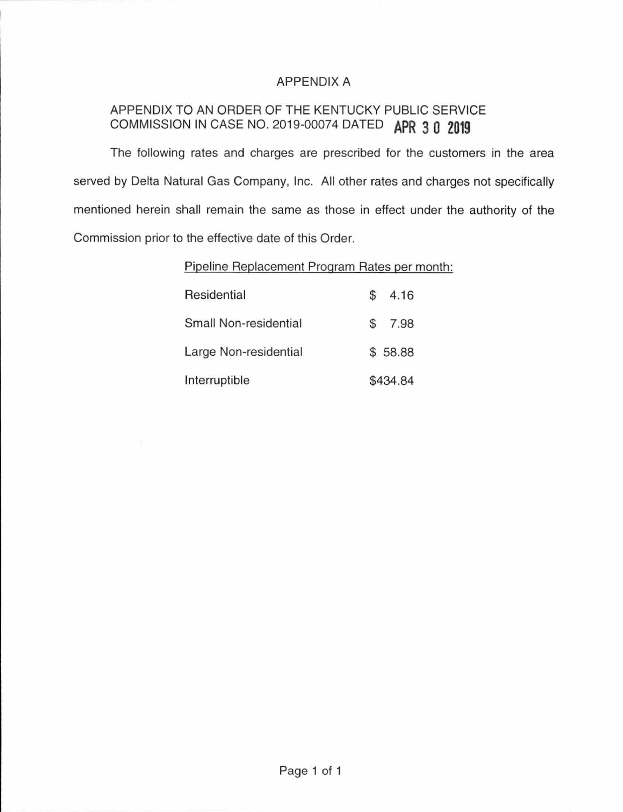## APPENDIX A

# APPENDIX TO AN ORDER OF THE KENTUCKY PUBLIC SERVICE COMMISSION IN CASE NO. 2019-00074 DATED **APR 3 0 2019**

The following rates and charges are prescribed for the customers in the area served by Delta Natural Gas Company, Inc. All other rates and charges not specifically mentioned herein shall remain the same as those in effect under the authority of the Commission prior to the effective date of this Order.

### Pipeline Replacement Program Rates per month:

| Residential           | \$. | 4.16     |
|-----------------------|-----|----------|
| Small Non-residential | S   | 7.98     |
| Large Non-residential |     | \$58.88  |
| Interruptible         |     | \$434.84 |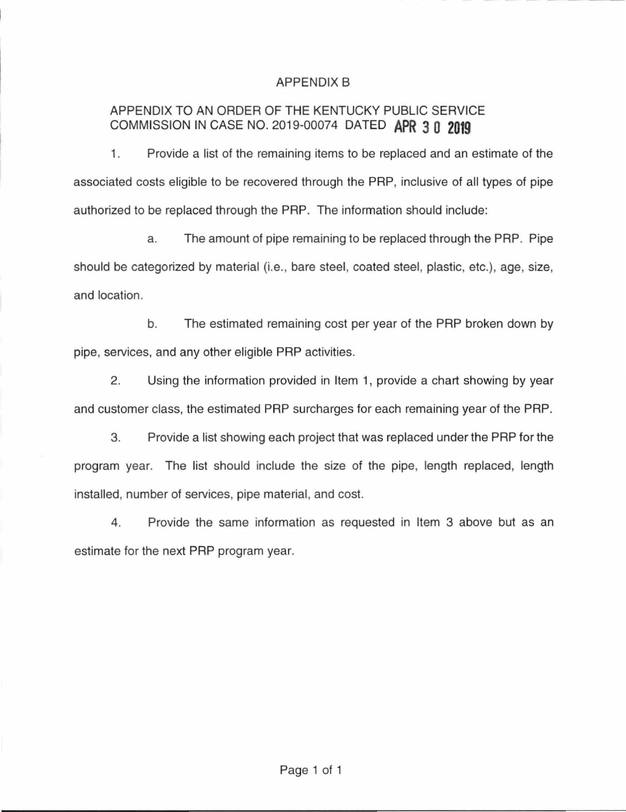## APPENDIX B

## APPENDIX TO AN ORDER OF THE KENTUCKY PUBLIC SERVICE COMMISSION IN CASE NO. 2019-00074 DATED **APR 3 0 2019**

1. Provide a list of the remaining items to be replaced and an estimate of the associated costs eligible to be recovered through the PRP, inclusive of all types of pipe authorized to be replaced through the PRP. The information should include:

a. The amount of pipe remaining to be replaced through the PRP. Pipe should be categorized by material (i.e., bare steel, coated steel, plastic, etc.), age, size, and location.

b. The estimated remaining cost per year of the PRP broken down by pipe, services, and any other eligible PRP activities.

2. Using the information provided in Item 1, provide a chart showing by year and customer class, the estimated PRP surcharges for each remaining year of the PRP.

3. Provide a list showing each project that was replaced under the PRP for the program year. The list should include the size of the pipe, length replaced, length installed, number of services, pipe material, and cost.

4. Provide the same information as requested in Item 3 above but as an estimate for the next PRP program year.